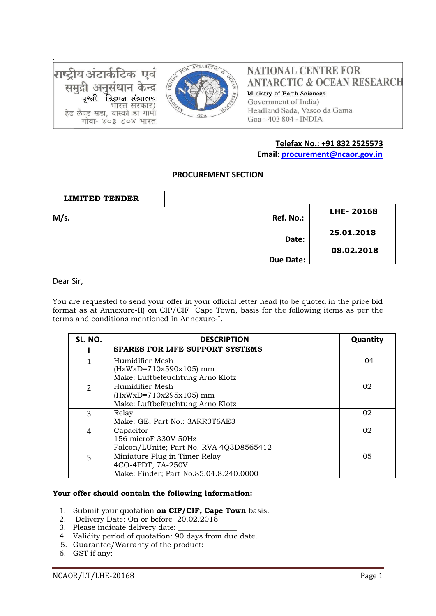राष्ट्रीय अंटार्कटिक एवं समढी अनसंधान केन्द पर्थ्या विज्ञान मंत्रालच भारत सरकार) हेड लैण्ड सडा. वास्को डा गामा गोवा- ४०३ ८०४ भारत



**NATIONAL CENTRE FOR ANTARCTIC & OCEAN RESEARCH** Ministry of Earth Sciences Government of India) Headland Sada, Vasco da Gama Goa - 403 804 - INDIA

# **Telefax No.: +91 832 2525573**

 **Email: [procurement@ncaor.gov.in](mailto:procurement@ncaor.gov.in)**

# **PROCUREMENT SECTION**

 **LIMITED TENDER**

.

| M/s. | Ref. No.: | LHE-20168  |
|------|-----------|------------|
|      | Date:     | 25.01.2018 |
|      |           | 08.02.2018 |
|      | Due Date: |            |

Dear Sir,

You are requested to send your offer in your official letter head (to be quoted in the price bid format as at Annexure-II) on CIP/CIF Cape Town, basis for the following items as per the terms and conditions mentioned in Annexure-I.

| SL. NO.       | <b>DESCRIPTION</b>                      | Quantity |
|---------------|-----------------------------------------|----------|
|               | <b>SPARES FOR LIFE SUPPORT SYSTEMS</b>  |          |
|               | Humidifier Mesh                         | 04       |
|               | $(HxWxD=710x590x105)$ mm                |          |
|               | Make: Luftbefeuchtung Arno Klotz        |          |
| $\mathcal{P}$ | Humidifier Mesh                         | 02       |
|               | $(HxWxD=710x295x105)$ mm                |          |
|               | Make: Luftbefeuchtung Arno Klotz        |          |
| 3             | Relay                                   | 02       |
|               | Make: GE; Part No.: 3ARR3T6AE3          |          |
| 4             | Capacitor                               | 02       |
|               | 156 microF 330V 50Hz                    |          |
|               | Falcon/LÚnite; Part No. RVA 4Q3D8565412 |          |
| 5             | Miniature Plug in Timer Relay           | 05       |
|               | 4CO-4PDT, 7A-250V                       |          |
|               | Make: Finder; Part No.85.04.8.240.0000  |          |

#### **Your offer should contain the following information:**

- 1. Submit your quotation **on CIP/CIF, Cape Town** basis.
- 2. Delivery Date: On or before 20.02.2018
- 3. Please indicate delivery date:
- 4. Validity period of quotation: 90 days from due date.
- 5. Guarantee/Warranty of the product:
- 6. GST if any: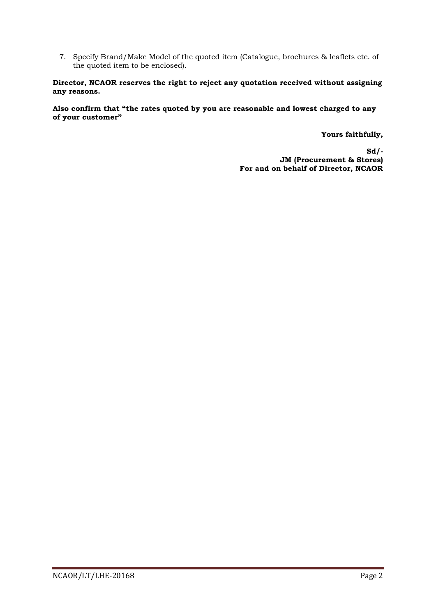7. Specify Brand/Make Model of the quoted item (Catalogue, brochures & leaflets etc. of the quoted item to be enclosed).

#### **Director, NCAOR reserves the right to reject any quotation received without assigning any reasons.**

**Also confirm that "the rates quoted by you are reasonable and lowest charged to any of your customer"** 

**Yours faithfully,** 

**Sd/- JM (Procurement & Stores) For and on behalf of Director, NCAOR**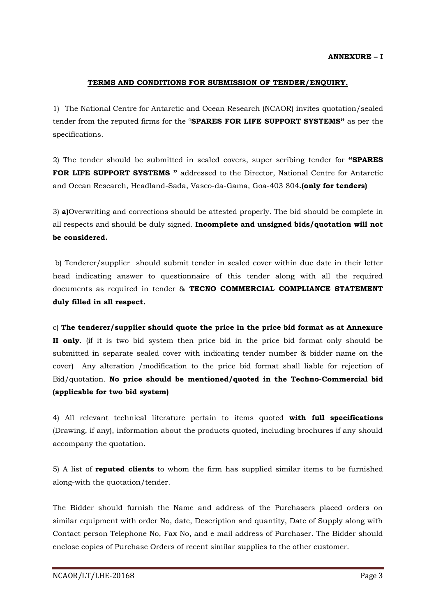#### **TERMS AND CONDITIONS FOR SUBMISSION OF TENDER/ENQUIRY.**

1) The National Centre for Antarctic and Ocean Research (NCAOR) invites quotation/sealed tender from the reputed firms for the "**SPARES FOR LIFE SUPPORT SYSTEMS"** as per the specifications.

2) The tender should be submitted in sealed covers, super scribing tender for **"SPARES FOR LIFE SUPPORT SYSTEMS "** addressed to the Director, National Centre for Antarctic and Ocean Research, Headland-Sada, Vasco-da-Gama, Goa-403 804**.(only for tenders)**

3) **a)**Overwriting and corrections should be attested properly. The bid should be complete in all respects and should be duly signed. **Incomplete and unsigned bids/quotation will not be considered.**

b) Tenderer/supplier should submit tender in sealed cover within due date in their letter head indicating answer to questionnaire of this tender along with all the required documents as required in tender & **TECNO COMMERCIAL COMPLIANCE STATEMENT duly filled in all respect.** 

c) **The tenderer/supplier should quote the price in the price bid format as at Annexure II only**. (if it is two bid system then price bid in the price bid format only should be submitted in separate sealed cover with indicating tender number & bidder name on the cover) Any alteration /modification to the price bid format shall liable for rejection of Bid/quotation. **No price should be mentioned/quoted in the Techno-Commercial bid (applicable for two bid system)**

4) All relevant technical literature pertain to items quoted **with full specifications** (Drawing, if any), information about the products quoted, including brochures if any should accompany the quotation.

5) A list of **reputed clients** to whom the firm has supplied similar items to be furnished along-with the quotation/tender.

The Bidder should furnish the Name and address of the Purchasers placed orders on similar equipment with order No, date, Description and quantity, Date of Supply along with Contact person Telephone No, Fax No, and e mail address of Purchaser. The Bidder should enclose copies of Purchase Orders of recent similar supplies to the other customer.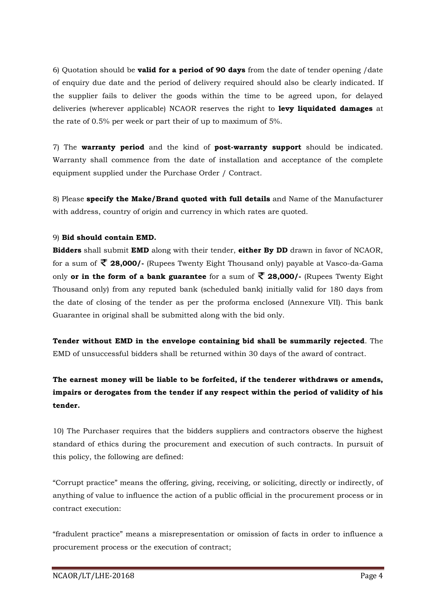6) Quotation should be **valid for a period of 90 days** from the date of tender opening /date of enquiry due date and the period of delivery required should also be clearly indicated. If the supplier fails to deliver the goods within the time to be agreed upon, for delayed deliveries (wherever applicable) NCAOR reserves the right to **levy liquidated damages** at the rate of 0.5% per week or part their of up to maximum of 5%.

7) The **warranty period** and the kind of **post-warranty support** should be indicated. Warranty shall commence from the date of installation and acceptance of the complete equipment supplied under the Purchase Order / Contract.

8) Please **specify the Make/Brand quoted with full details** and Name of the Manufacturer with address, country of origin and currency in which rates are quoted.

## 9) **Bid should contain EMD.**

**Bidders** shall submit **EMD** along with their tender, **either By DD** drawn in favor of NCAOR, for a sum of **28,000/-** (Rupees Twenty Eight Thousand only) payable at Vasco-da-Gama only **or in the form of a bank guarantee** for a sum of  $\overline{\mathcal{L}}$  **28,000/**- (Rupees Twenty Eight Thousand only) from any reputed bank (scheduled bank) initially valid for 180 days from the date of closing of the tender as per the proforma enclosed (Annexure VII). This bank Guarantee in original shall be submitted along with the bid only.

**Tender without EMD in the envelope containing bid shall be summarily rejected**. The EMD of unsuccessful bidders shall be returned within 30 days of the award of contract.

# **The earnest money will be liable to be forfeited, if the tenderer withdraws or amends, impairs or derogates from the tender if any respect within the period of validity of his tender.**

10) The Purchaser requires that the bidders suppliers and contractors observe the highest standard of ethics during the procurement and execution of such contracts. In pursuit of this policy, the following are defined:

"Corrupt practice" means the offering, giving, receiving, or soliciting, directly or indirectly, of anything of value to influence the action of a public official in the procurement process or in contract execution:

"fradulent practice" means a misrepresentation or omission of facts in order to influence a procurement process or the execution of contract;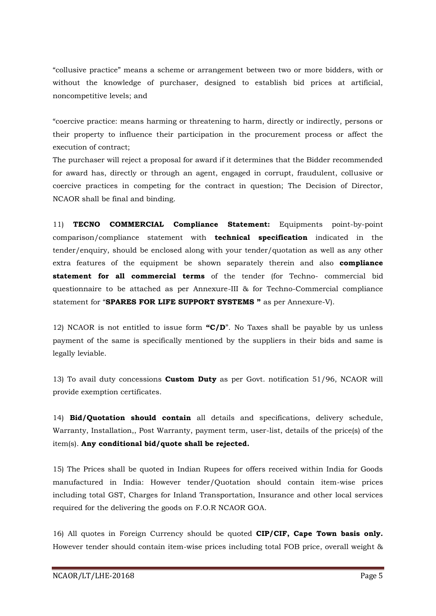"collusive practice" means a scheme or arrangement between two or more bidders, with or without the knowledge of purchaser, designed to establish bid prices at artificial, noncompetitive levels; and

"coercive practice: means harming or threatening to harm, directly or indirectly, persons or their property to influence their participation in the procurement process or affect the execution of contract;

The purchaser will reject a proposal for award if it determines that the Bidder recommended for award has, directly or through an agent, engaged in corrupt, fraudulent, collusive or coercive practices in competing for the contract in question; The Decision of Director, NCAOR shall be final and binding.

11) **TECNO COMMERCIAL Compliance Statement:** Equipments point-by-point comparison/compliance statement with **technical specification** indicated in the tender/enquiry, should be enclosed along with your tender/quotation as well as any other extra features of the equipment be shown separately therein and also **compliance statement for all commercial terms** of the tender (for Techno- commercial bid questionnaire to be attached as per Annexure-III & for Techno-Commercial compliance statement for "**SPARES FOR LIFE SUPPORT SYSTEMS "** as per Annexure-V).

12) NCAOR is not entitled to issue form **"C/D**". No Taxes shall be payable by us unless payment of the same is specifically mentioned by the suppliers in their bids and same is legally leviable.

13) To avail duty concessions **Custom Duty** as per Govt. notification 51/96, NCAOR will provide exemption certificates.

14) **Bid/Quotation should contain** all details and specifications, delivery schedule, Warranty, Installation,, Post Warranty, payment term, user-list, details of the price(s) of the item(s). **Any conditional bid/quote shall be rejected.**

15) The Prices shall be quoted in Indian Rupees for offers received within India for Goods manufactured in India: However tender/Quotation should contain item-wise prices including total GST, Charges for Inland Transportation, Insurance and other local services required for the delivering the goods on F.O.R NCAOR GOA.

16) All quotes in Foreign Currency should be quoted **CIP/CIF, Cape Town basis only.** However tender should contain item-wise prices including total FOB price, overall weight &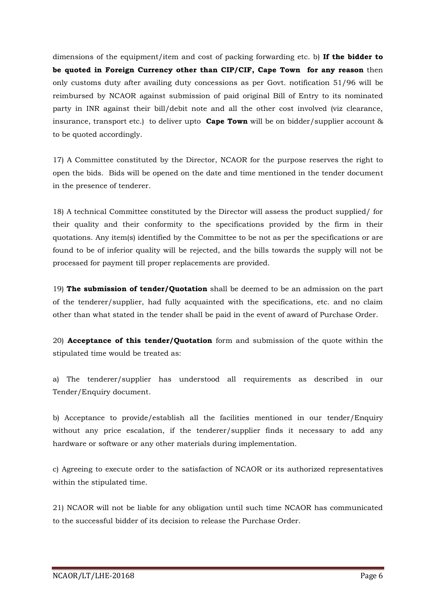dimensions of the equipment/item and cost of packing forwarding etc. b) **If the bidder to be quoted in Foreign Currency other than CIP/CIF, Cape Town for any reason** then only customs duty after availing duty concessions as per Govt. notification 51/96 will be reimbursed by NCAOR against submission of paid original Bill of Entry to its nominated party in INR against their bill/debit note and all the other cost involved (viz clearance, insurance, transport etc.) to deliver upto **Cape Town** will be on bidder/supplier account & to be quoted accordingly.

17) A Committee constituted by the Director, NCAOR for the purpose reserves the right to open the bids. Bids will be opened on the date and time mentioned in the tender document in the presence of tenderer.

18) A technical Committee constituted by the Director will assess the product supplied/ for their quality and their conformity to the specifications provided by the firm in their quotations. Any item(s) identified by the Committee to be not as per the specifications or are found to be of inferior quality will be rejected, and the bills towards the supply will not be processed for payment till proper replacements are provided.

19) **The submission of tender/Quotation** shall be deemed to be an admission on the part of the tenderer/supplier, had fully acquainted with the specifications, etc. and no claim other than what stated in the tender shall be paid in the event of award of Purchase Order.

20) **Acceptance of this tender/Quotation** form and submission of the quote within the stipulated time would be treated as:

a) The tenderer/supplier has understood all requirements as described in our Tender/Enquiry document.

b) Acceptance to provide/establish all the facilities mentioned in our tender/Enquiry without any price escalation, if the tenderer/supplier finds it necessary to add any hardware or software or any other materials during implementation.

c) Agreeing to execute order to the satisfaction of NCAOR or its authorized representatives within the stipulated time.

21) NCAOR will not be liable for any obligation until such time NCAOR has communicated to the successful bidder of its decision to release the Purchase Order.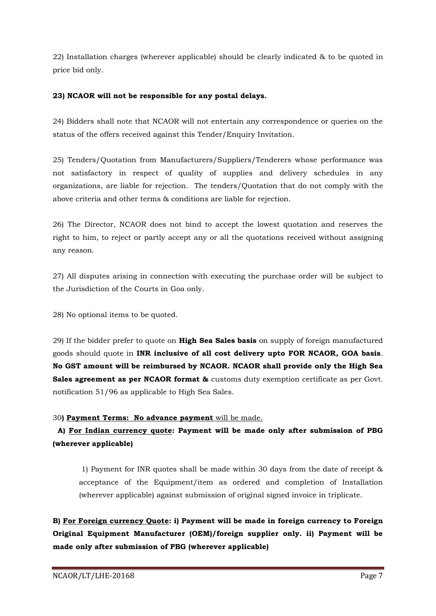22) Installation charges (wherever applicable) should be clearly indicated & to be quoted in price bid only.

## **23) NCAOR will not be responsible for any postal delays.**

24) Bidders shall note that NCAOR will not entertain any correspondence or queries on the status of the offers received against this Tender/Enquiry Invitation.

25) Tenders/Quotation from Manufacturers/Suppliers/Tenderers whose performance was not satisfactory in respect of quality of supplies and delivery schedules in any organizations, are liable for rejection. The tenders/Quotation that do not comply with the above criteria and other terms & conditions are liable for rejection.

26) The Director, NCAOR does not bind to accept the lowest quotation and reserves the right to him, to reject or partly accept any or all the quotations received without assigning any reason.

27) All disputes arising in connection with executing the purchase order will be subject to the Jurisdiction of the Courts in Goa only.

28) No optional items to be quoted.

29) If the bidder prefer to quote on **High Sea Sales basis** on supply of foreign manufactured goods should quote in **INR inclusive of all cost delivery upto FOR NCAOR, GOA basis**. **No GST amount will be reimbursed by NCAOR. NCAOR shall provide only the High Sea Sales agreement as per NCAOR format &** customs duty exemption certificate as per Govt. notification 51/96 as applicable to High Sea Sales.

# 30**) Payment Terms: No advance payment** will be made.

# **A) For Indian currency quote: Payment will be made only after submission of PBG (wherever applicable)**

1) Payment for INR quotes shall be made within 30 days from the date of receipt & acceptance of the Equipment/item as ordered and completion of Installation (wherever applicable) against submission of original signed invoice in triplicate.

**B) For Foreign currency Quote: i) Payment will be made in foreign currency to Foreign Original Equipment Manufacturer (OEM)/foreign supplier only. ii) Payment will be made only after submission of PBG (wherever applicable)**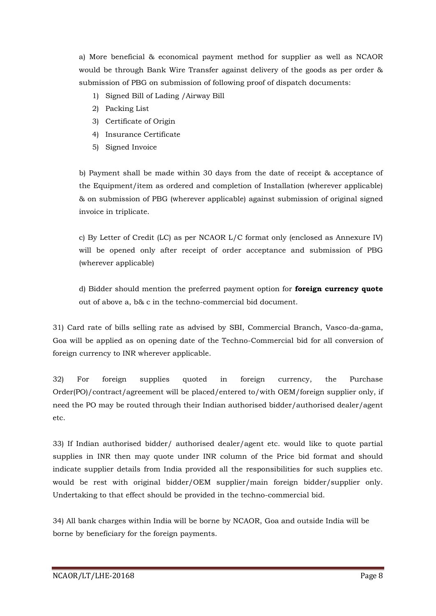a) More beneficial & economical payment method for supplier as well as NCAOR would be through Bank Wire Transfer against delivery of the goods as per order & submission of PBG on submission of following proof of dispatch documents:

- 1) Signed Bill of Lading /Airway Bill
- 2) Packing List
- 3) Certificate of Origin
- 4) Insurance Certificate
- 5) Signed Invoice

b) Payment shall be made within 30 days from the date of receipt & acceptance of the Equipment/item as ordered and completion of Installation (wherever applicable) & on submission of PBG (wherever applicable) against submission of original signed invoice in triplicate.

c) By Letter of Credit (LC) as per NCAOR L/C format only (enclosed as Annexure IV) will be opened only after receipt of order acceptance and submission of PBG (wherever applicable)

d) Bidder should mention the preferred payment option for **foreign currency quote** out of above a, b& c in the techno-commercial bid document.

31) Card rate of bills selling rate as advised by SBI, Commercial Branch, Vasco-da-gama, Goa will be applied as on opening date of the Techno-Commercial bid for all conversion of foreign currency to INR wherever applicable.

32) For foreign supplies quoted in foreign currency, the Purchase Order(PO)/contract/agreement will be placed/entered to/with OEM/foreign supplier only, if need the PO may be routed through their Indian authorised bidder/authorised dealer/agent etc.

33) If Indian authorised bidder/ authorised dealer/agent etc. would like to quote partial supplies in INR then may quote under INR column of the Price bid format and should indicate supplier details from India provided all the responsibilities for such supplies etc. would be rest with original bidder/OEM supplier/main foreign bidder/supplier only. Undertaking to that effect should be provided in the techno-commercial bid.

34) All bank charges within India will be borne by NCAOR, Goa and outside India will be borne by beneficiary for the foreign payments.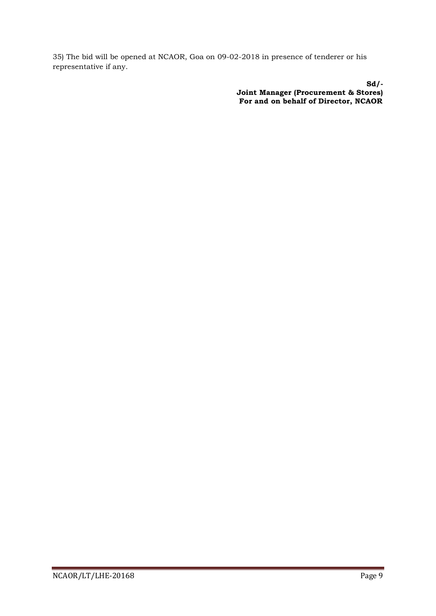35) The bid will be opened at NCAOR, Goa on 09-02-2018 in presence of tenderer or his representative if any.

> **Sd/- Joint Manager (Procurement & Stores) For and on behalf of Director, NCAOR**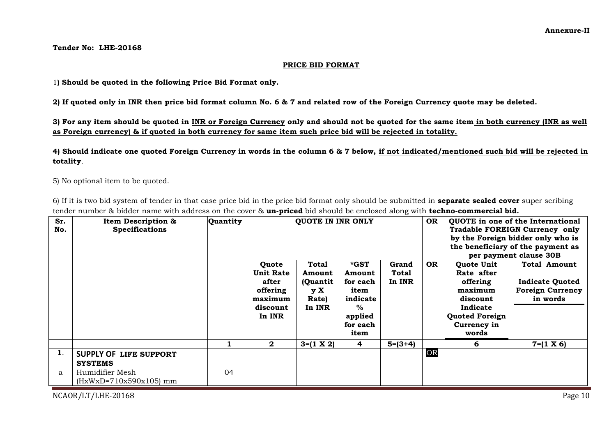**Tender No: LHE-20168**

#### **PRICE BID FORMAT**

1**) Should be quoted in the following Price Bid Format only.**

**2) If quoted only in INR then price bid format column No. 6 & 7 and related row of the Foreign Currency quote may be deleted.**

**3) For any item should be quoted in INR or Foreign Currency only and should not be quoted for the same item in both currency (INR as well as Foreign currency) & if quoted in both currency for same item such price bid will be rejected in totality.** 

**4) Should indicate one quoted Foreign Currency in words in the column 6 & 7 below, if not indicated/mentioned such bid will be rejected in totality**.

5) No optional item to be quoted.

6) If it is two bid system of tender in that case price bid in the price bid format only should be submitted in **separate sealed cover** super scribing tender number & bidder name with address on the cover & **un-priced** bid should be enclosed along with **techno-commercial bid.**

| Sr.<br>No. | Item Description &<br><b>Specifications</b>     | Quantity | <b>QUOTE IN INR ONLY</b>                                                        |                                                        |                                                                                       | <b>OR</b>                |           | QUOTE in one of the International<br>Tradable FOREIGN Currency only<br>by the Foreign bidder only who is<br>the beneficiary of the payment as<br>per payment clause 30B |                                                                                      |
|------------|-------------------------------------------------|----------|---------------------------------------------------------------------------------|--------------------------------------------------------|---------------------------------------------------------------------------------------|--------------------------|-----------|-------------------------------------------------------------------------------------------------------------------------------------------------------------------------|--------------------------------------------------------------------------------------|
|            |                                                 |          | Quote<br><b>Unit Rate</b><br>after<br>offering<br>maximum<br>discount<br>In INR | Total<br>Amount<br>(Quantit)<br>y X<br>Rate)<br>In INR | *GST<br>Amount<br>for each<br>item<br>indicate<br>$\%$<br>applied<br>for each<br>item | Grand<br>Total<br>In INR | <b>OR</b> | Quote Unit<br>Rate after<br>offering<br>maximum<br>discount<br>Indicate<br><b>Quoted Foreign</b><br>Currency in<br>words                                                | <b>Total Amount</b><br><b>Indicate Quoted</b><br><b>Foreign Currency</b><br>in words |
|            |                                                 |          | $\mathbf{2}$                                                                    | $3=(1 \times 2)$                                       | 4                                                                                     | $5=(3+4)$                |           | 6                                                                                                                                                                       | $7 = (1 \times 6)$                                                                   |
| 1.         | <b>SUPPLY OF LIFE SUPPORT</b><br><b>SYSTEMS</b> |          |                                                                                 |                                                        |                                                                                       |                          | OR        |                                                                                                                                                                         |                                                                                      |
| a          | Humidifier Mesh<br>$(HxWxD=710x590x105)$ mm     | 04       |                                                                                 |                                                        |                                                                                       |                          |           |                                                                                                                                                                         |                                                                                      |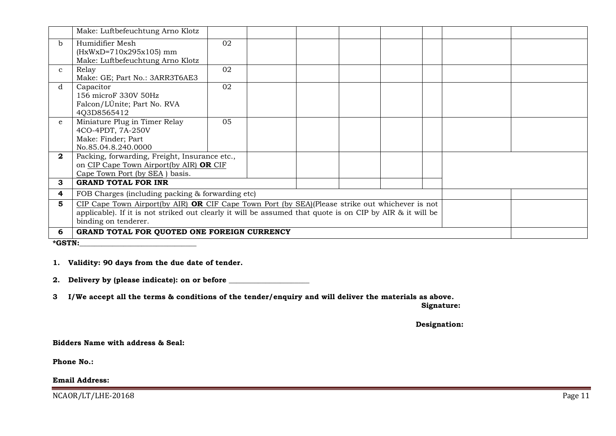|              | Make: Luftbefeuchtung Arno Klotz                                                                                                                                                                                                                  |    |  |  |  |  |  |  |  |
|--------------|---------------------------------------------------------------------------------------------------------------------------------------------------------------------------------------------------------------------------------------------------|----|--|--|--|--|--|--|--|
| b.           | Humidifier Mesh<br>$(HxWxD=710x295x105)$ mm<br>Make: Luftbefeuchtung Arno Klotz                                                                                                                                                                   | 02 |  |  |  |  |  |  |  |
| $\mathbf{C}$ | Relay<br>Make: GE; Part No.: 3ARR3T6AE3                                                                                                                                                                                                           | 02 |  |  |  |  |  |  |  |
| d            | Capacitor<br>156 microF 330V 50Hz<br>Falcon/LÚnite; Part No. RVA<br>4Q3D8565412                                                                                                                                                                   | 02 |  |  |  |  |  |  |  |
| e.           | Miniature Plug in Timer Relay<br>4CO-4PDT, 7A-250V<br>Make: Finder; Part<br>No.85.04.8.240.0000                                                                                                                                                   | 05 |  |  |  |  |  |  |  |
| $\mathbf{2}$ | Packing, forwarding, Freight, Insurance etc.,<br>on CIP Cape Town Airport(by AIR) OR CIF<br>Cape Town Port (by SEA) basis.                                                                                                                        |    |  |  |  |  |  |  |  |
| 3            | <b>GRAND TOTAL FOR INR</b>                                                                                                                                                                                                                        |    |  |  |  |  |  |  |  |
| 4            | FOB Charges (including packing & forwarding etc)                                                                                                                                                                                                  |    |  |  |  |  |  |  |  |
| 5.           | CIP Cape Town Airport(by AIR) <b>OR</b> CIF Cape Town Port (by $SEA$ )(Please strike out whichever is not<br>applicable). If it is not striked out clearly it will be assumed that quote is on CIP by AIR $\&$ it will be<br>binding on tenderer. |    |  |  |  |  |  |  |  |
| 6            | GRAND TOTAL FOR QUOTED ONE FOREIGN CURRENCY                                                                                                                                                                                                       |    |  |  |  |  |  |  |  |
|              | *GSTN:                                                                                                                                                                                                                                            |    |  |  |  |  |  |  |  |

#### **1. Validity: 90 days from the due date of tender.**

**2. Delivery by (please indicate): on or before \_\_\_\_\_\_\_\_\_\_\_\_\_\_\_\_\_\_\_\_\_\_**

**3 I/We accept all the terms & conditions of the tender/enquiry and will deliver the materials as above.**

 **Signature:**

 **Designation:**

#### **Bidders Name with address & Seal:**

**Phone No.:** 

# **Email Address:**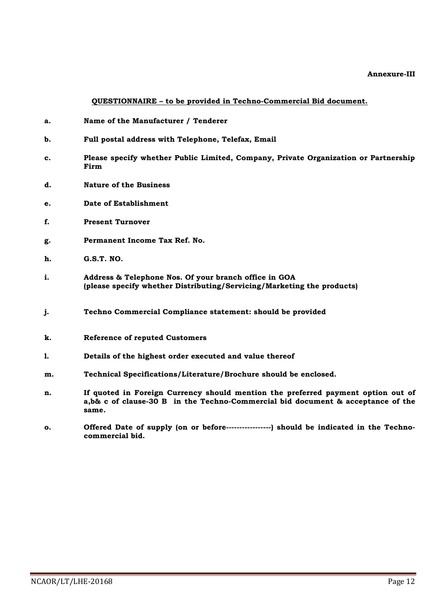#### **Annexure-III**

**QUESTIONNAIRE – to be provided in Techno-Commercial Bid document.**

- **a. Name of the Manufacturer / Tenderer**
- **b. Full postal address with Telephone, Telefax, Email**
- **c. Please specify whether Public Limited, Company, Private Organization or Partnership Firm**
- **d. Nature of the Business**
- **e. Date of Establishment**
- **f. Present Turnover**
- **g. Permanent Income Tax Ref. No.**
- **h. G.S.T. NO.**
- **i. Address & Telephone Nos. Of your branch office in GOA (please specify whether Distributing/Servicing/Marketing the products)**
- **j. Techno Commercial Compliance statement: should be provided**
- **k. Reference of reputed Customers**
- **l. Details of the highest order executed and value thereof**
- **m. Technical Specifications/Literature/Brochure should be enclosed.**
- **n. If quoted in Foreign Currency should mention the preferred payment option out of a,b& c of clause-30 B in the Techno-Commercial bid document & acceptance of the same.**
- **o. Offered Date of supply (on or before-----------------) should be indicated in the Technocommercial bid.**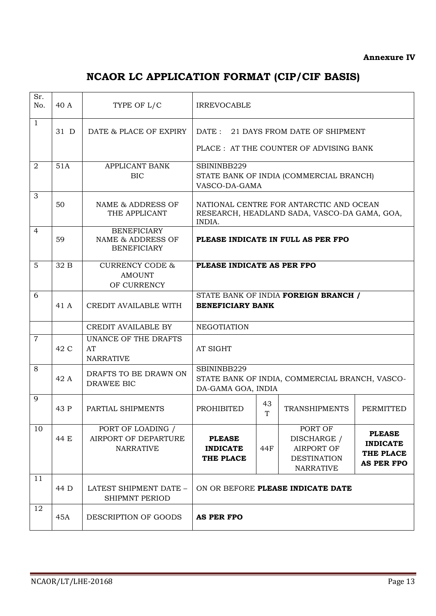# **NCAOR LC APPLICATION FORMAT (CIP/CIF BASIS)**

| Sr.<br>No.     | 40 A | TYPE OF L/C                                                              | <b>IRREVOCABLE</b>                                                                                |         |                                                                                |                                                                    |  |
|----------------|------|--------------------------------------------------------------------------|---------------------------------------------------------------------------------------------------|---------|--------------------------------------------------------------------------------|--------------------------------------------------------------------|--|
| $\mathbf{1}$   | 31 D | DATE & PLACE OF EXPIRY                                                   | $\text{DATE}:$<br>21 DAYS FROM DATE OF SHIPMENT<br>PLACE : AT THE COUNTER OF ADVISING BANK        |         |                                                                                |                                                                    |  |
| 2              | 51A  | APPLICANT BANK<br><b>BIC</b>                                             | SBININBB229<br>STATE BANK OF INDIA (COMMERCIAL BRANCH)<br>VASCO-DA-GAMA                           |         |                                                                                |                                                                    |  |
| 3              | 50   | NAME & ADDRESS OF<br>THE APPLICANT                                       | NATIONAL CENTRE FOR ANTARCTIC AND OCEAN<br>RESEARCH, HEADLAND SADA, VASCO-DA GAMA, GOA,<br>INDIA. |         |                                                                                |                                                                    |  |
| 4              | 59   | <b>BENEFICIARY</b><br><b>NAME &amp; ADDRESS OF</b><br><b>BENEFICIARY</b> | PLEASE INDICATE IN FULL AS PER FPO                                                                |         |                                                                                |                                                                    |  |
| 5              | 32 B | <b>CURRENCY CODE &amp;</b><br><b>AMOUNT</b><br>OF CURRENCY               | PLEASE INDICATE AS PER FPO                                                                        |         |                                                                                |                                                                    |  |
| 6              | 41 A | CREDIT AVAILABLE WITH                                                    | STATE BANK OF INDIA FOREIGN BRANCH /<br><b>BENEFICIARY BANK</b>                                   |         |                                                                                |                                                                    |  |
|                |      | <b>CREDIT AVAILABLE BY</b>                                               | <b>NEGOTIATION</b>                                                                                |         |                                                                                |                                                                    |  |
| $\overline{7}$ | 42 C | UNANCE OF THE DRAFTS<br>AT<br><b>NARRATIVE</b>                           | AT SIGHT                                                                                          |         |                                                                                |                                                                    |  |
| 8              | 42 A | DRAFTS TO BE DRAWN ON<br>DRAWEE BIC                                      | SBININBB229<br>DA-GAMA GOA, INDIA                                                                 |         | STATE BANK OF INDIA, COMMERCIAL BRANCH, VASCO-                                 |                                                                    |  |
| 9              | 43 P | PARTIAL SHIPMENTS                                                        | <b>PROHIBITED</b>                                                                                 | 43<br>T | <b>TRANSHIPMENTS</b>                                                           | PERMITTED                                                          |  |
| 10             | 44 E | PORT OF LOADING /<br>AIRPORT OF DEPARTURE<br><b>NARRATIVE</b>            | <b>PLEASE</b><br><b>INDICATE</b><br>THE PLACE                                                     | 44F     | PORT OF<br>DISCHARGE /<br>AIRPORT OF<br><b>DESTINATION</b><br><b>NARRATIVE</b> | <b>PLEASE</b><br><b>INDICATE</b><br>THE PLACE<br><b>AS PER FPO</b> |  |
| 11             | 44 D | LATEST SHIPMENT DATE -<br><b>SHIPMNT PERIOD</b>                          | ON OR BEFORE PLEASE INDICATE DATE                                                                 |         |                                                                                |                                                                    |  |
| 12             | 45A  | DESCRIPTION OF GOODS                                                     | <b>AS PER FPO</b>                                                                                 |         |                                                                                |                                                                    |  |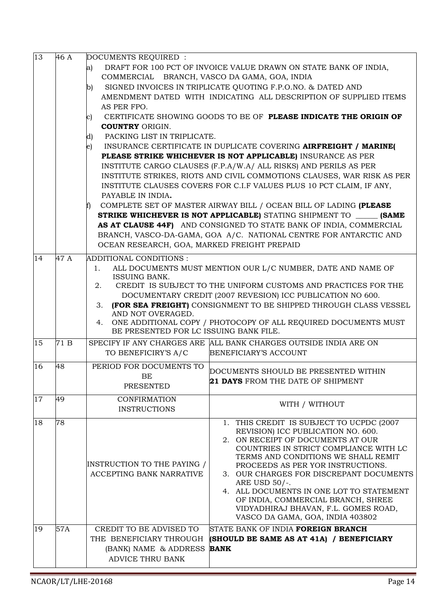|          |           | THE BENEFICIARY THROUGH<br>(BANK) NAME & ADDRESS<br>ADVICE THRU BANK                                                                                                                                                                           | (SHOULD BE SAME AS AT 41A) / BENEFICIARY<br><b>BANK</b>                                                                                                                                                                                                                                                                                                                                                                                                                                                                                                                                                                                                                                                                                                                                                                                                                                                                          |
|----------|-----------|------------------------------------------------------------------------------------------------------------------------------------------------------------------------------------------------------------------------------------------------|----------------------------------------------------------------------------------------------------------------------------------------------------------------------------------------------------------------------------------------------------------------------------------------------------------------------------------------------------------------------------------------------------------------------------------------------------------------------------------------------------------------------------------------------------------------------------------------------------------------------------------------------------------------------------------------------------------------------------------------------------------------------------------------------------------------------------------------------------------------------------------------------------------------------------------|
| 18<br>19 | 78<br>57A | INSTRUCTION TO THE PAYING /<br><b>ACCEPTING BANK NARRATIVE</b><br>CREDIT TO BE ADVISED TO                                                                                                                                                      | 1. THIS CREDIT IS SUBJECT TO UCPDC (2007<br>REVISION) ICC PUBLICATION NO. 600.<br>2. ON RECEIPT OF DOCUMENTS AT OUR<br>COUNTRIES IN STRICT COMPLIANCE WITH LC<br>TERMS AND CONDITIONS WE SHALL REMIT<br>PROCEEDS AS PER YOR INSTRUCTIONS.<br>3. OUR CHARGES FOR DISCREPANT DOCUMENTS<br>ARE USD 50/-.<br>4. ALL DOCUMENTS IN ONE LOT TO STATEMENT<br>OF INDIA, COMMERCIAL BRANCH, SHREE<br>VIDYADHIRAJ BHAVAN, F.L. GOMES ROAD,<br>VASCO DA GAMA, GOA, INDIA 403802<br>STATE BANK OF INDIA FOREIGN BRANCH                                                                                                                                                                                                                                                                                                                                                                                                                        |
| 17       | 49        | <b>CONFIRMATION</b><br><b>INSTRUCTIONS</b>                                                                                                                                                                                                     | WITH / WITHOUT                                                                                                                                                                                                                                                                                                                                                                                                                                                                                                                                                                                                                                                                                                                                                                                                                                                                                                                   |
| 16       | 48        | PERIOD FOR DOCUMENTS TO<br>BE<br><b>PRESENTED</b>                                                                                                                                                                                              | DOCUMENTS SHOULD BE PRESENTED WITHIN<br><b>21 DAYS</b> FROM THE DATE OF SHIPMENT                                                                                                                                                                                                                                                                                                                                                                                                                                                                                                                                                                                                                                                                                                                                                                                                                                                 |
| 15       | 71 B      | TO BENEFICIRY'S A/C                                                                                                                                                                                                                            | SPECIFY IF ANY CHARGES ARE ALL BANK CHARGES OUTSIDE INDIA ARE ON<br>BENEFICIARY'S ACCOUNT                                                                                                                                                                                                                                                                                                                                                                                                                                                                                                                                                                                                                                                                                                                                                                                                                                        |
| 14       | 47 A      | ADDITIONAL CONDITIONS :<br>1.<br>ISSUING BANK.<br>2.<br>3.<br>AND NOT OVERAGED.<br>4.<br>BE PRESENTED FOR LC ISSUING BANK FILE.                                                                                                                | ALL DOCUMENTS MUST MENTION OUR L/C NUMBER, DATE AND NAME OF<br>CREDIT IS SUBJECT TO THE UNIFORM CUSTOMS AND PRACTICES FOR THE<br>DOCUMENTARY CREDIT (2007 REVESION) ICC PUBLICATION NO 600.<br>(FOR SEA FREIGHT) CONSIGNMENT TO BE SHIPPED THROUGH CLASS VESSEL<br>ONE ADDITIONAL COPY / PHOTOCOPY OF ALL REQUIRED DOCUMENTS MUST                                                                                                                                                                                                                                                                                                                                                                                                                                                                                                                                                                                                |
| 13       | 46 A      | DOCUMENTS REQUIRED :<br>a)<br>COMMERCIAL BRANCH, VASCO DA GAMA, GOA, INDIA<br>b)<br>AS PER FPO.<br>C)<br><b>COUNTRY ORIGIN.</b><br>PACKING LIST IN TRIPLICATE.<br>d)<br>e)<br>PAYABLE IN INDIA.<br>OCEAN RESEARCH, GOA, MARKED FREIGHT PREPAID | DRAFT FOR 100 PCT OF INVOICE VALUE DRAWN ON STATE BANK OF INDIA,<br>SIGNED INVOICES IN TRIPLICATE QUOTING F.P.O.NO. & DATED AND<br>AMENDMENT DATED WITH INDICATING ALL DESCRIPTION OF SUPPLIED ITEMS<br>CERTIFICATE SHOWING GOODS TO BE OF PLEASE INDICATE THE ORIGIN OF<br>INSURANCE CERTIFICATE IN DUPLICATE COVERING AIRFREIGHT / MARINE(<br>PLEASE STRIKE WHICHEVER IS NOT APPLICABLE) INSURANCE AS PER<br>INSTITUTE CARGO CLAUSES (F.P.A/W.A/ ALL RISKS) AND PERILS AS PER<br>INSTITUTE STRIKES, RIOTS AND CIVIL COMMOTIONS CLAUSES, WAR RISK AS PER<br>INSTITUTE CLAUSES COVERS FOR C.I.F VALUES PLUS 10 PCT CLAIM, IF ANY,<br>COMPLETE SET OF MASTER AIRWAY BILL / OCEAN BILL OF LADING (PLEASE<br><b>STRIKE WHICHEVER IS NOT APPLICABLE)</b> STATING SHIPMENT TO <b>(SAME</b><br>AS AT CLAUSE 44F) AND CONSIGNED TO STATE BANK OF INDIA, COMMERCIAL<br>BRANCH, VASCO-DA-GAMA, GOA A/C. NATIONAL CENTRE FOR ANTARCTIC AND |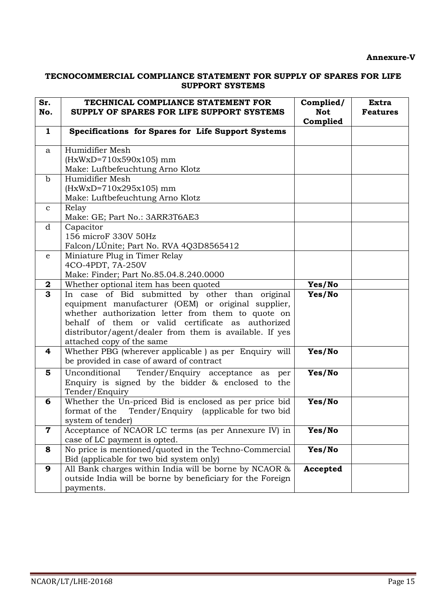## **Annexure-V**

# **TECNOCOMMERCIAL COMPLIANCE STATEMENT FOR SUPPLY OF SPARES FOR LIFE SUPPORT SYSTEMS**

| Sr.<br>No.       | TECHNICAL COMPLIANCE STATEMENT FOR<br>SUPPLY OF SPARES FOR LIFE SUPPORT SYSTEMS                                                                                                                                                                                                                          | Complied/<br><b>Not</b><br>Complied | <b>Extra</b><br><b>Features</b> |
|------------------|----------------------------------------------------------------------------------------------------------------------------------------------------------------------------------------------------------------------------------------------------------------------------------------------------------|-------------------------------------|---------------------------------|
| $\mathbf{1}$     | Specifications for Spares for Life Support Systems                                                                                                                                                                                                                                                       |                                     |                                 |
| a                | Humidifier Mesh<br>$(HxWxD=710x590x105)$ mm<br>Make: Luftbefeuchtung Arno Klotz                                                                                                                                                                                                                          |                                     |                                 |
| $\mathbf b$      | Humidifier Mesh<br>$(HxWxD=710x295x105)$ mm<br>Make: Luftbefeuchtung Arno Klotz                                                                                                                                                                                                                          |                                     |                                 |
| $\mathbf{C}$     | Relay<br>Make: GE; Part No.: 3ARR3T6AE3                                                                                                                                                                                                                                                                  |                                     |                                 |
| d                | Capacitor<br>156 microF 330V 50Hz<br>Falcon/LUnite; Part No. RVA 4Q3D8565412                                                                                                                                                                                                                             |                                     |                                 |
| e                | Miniature Plug in Timer Relay<br>4CO-4PDT, 7A-250V<br>Make: Finder; Part No.85.04.8.240.0000                                                                                                                                                                                                             |                                     |                                 |
| $\boldsymbol{2}$ | Whether optional item has been quoted                                                                                                                                                                                                                                                                    | Yes/No                              |                                 |
| $\overline{3}$   | In case of Bid submitted by other than original<br>equipment manufacturer (OEM) or original supplier,<br>whether authorization letter from them to quote on<br>behalf of them or valid certificate as authorized<br>distributor/agent/dealer from them is available. If yes<br>attached copy of the same | Yes/No                              |                                 |
| 4                | Whether PBG (wherever applicable) as per Enquiry will<br>be provided in case of award of contract                                                                                                                                                                                                        | Yes/No                              |                                 |
| 5                | Unconditional<br>Tender/Enquiry acceptance as<br>per<br>Enquiry is signed by the bidder $\&$ enclosed to the<br>Tender/Enquiry                                                                                                                                                                           | Yes/No                              |                                 |
| 6                | Whether the Un-priced Bid is enclosed as per price bid<br>format of the<br>Tender/Enquiry (applicable for two bid<br>system of tender)                                                                                                                                                                   | Yes/No                              |                                 |
| $\mathbf 7$      | Acceptance of NCAOR LC terms (as per Annexure IV) in<br>case of LC payment is opted.                                                                                                                                                                                                                     | Yes/No                              |                                 |
| 8                | No price is mentioned/quoted in the Techno-Commercial<br>Bid (applicable for two bid system only)                                                                                                                                                                                                        | Yes/No                              |                                 |
| 9                | All Bank charges within India will be borne by NCAOR &<br>outside India will be borne by beneficiary for the Foreign<br>payments.                                                                                                                                                                        | Accepted                            |                                 |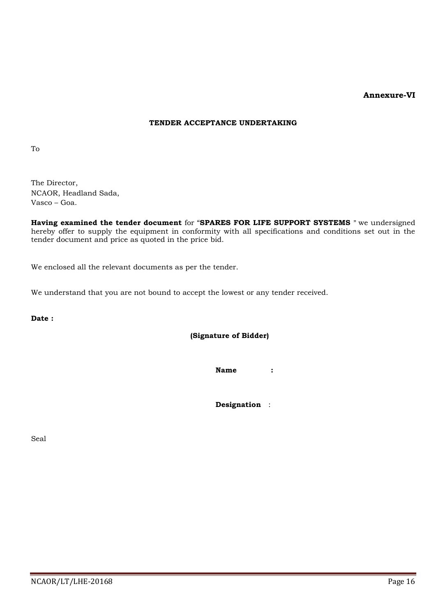## **Annexure-VI**

#### **TENDER ACCEPTANCE UNDERTAKING**

To

The Director, NCAOR, Headland Sada, Vasco – Goa.

**Having examined the tender document** for "**SPARES FOR LIFE SUPPORT SYSTEMS** " we undersigned hereby offer to supply the equipment in conformity with all specifications and conditions set out in the tender document and price as quoted in the price bid.

We enclosed all the relevant documents as per the tender.

We understand that you are not bound to accept the lowest or any tender received.

**Date :**

**(Signature of Bidder)**

**Name :**

**Designation** :

Seal